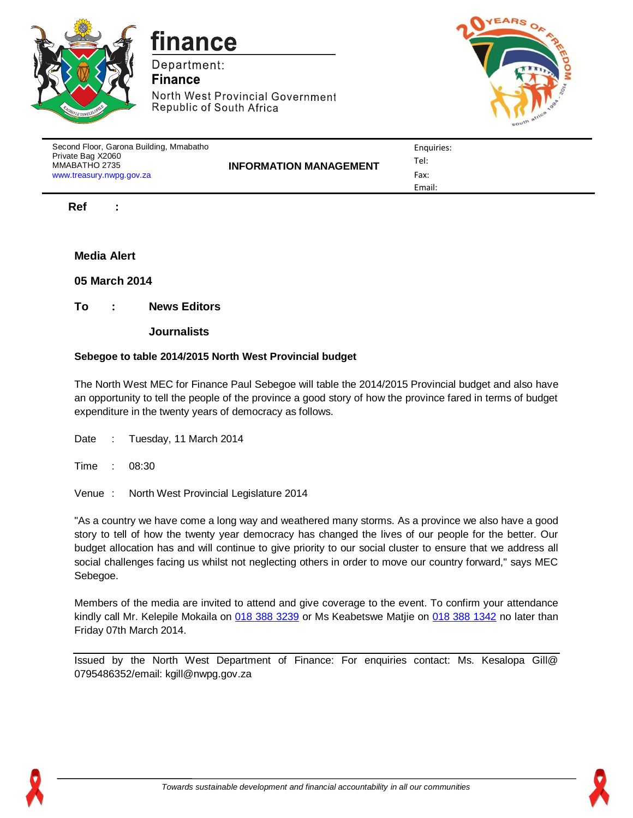

finance

Department: **Finance** North West Provincial Government Republic of South Africa



| Second Floor, Garona Building, Mmabatho<br>Private Bag X2060<br>MMABATHO 2735<br>www.treasury.nwpg.gov.za | <b>INFORMATION MANAGEMENT</b> | Enguiries:<br>Tel:<br>Fax: |
|-----------------------------------------------------------------------------------------------------------|-------------------------------|----------------------------|
|                                                                                                           |                               | Email:                     |

**Ref :** 

**Media Alert**

**05 March 2014**

**To : News Editors**

**Journalists**

## **Sebegoe to table 2014/2015 North West Provincial budget**

The North West MEC for Finance Paul Sebegoe will table the 2014/2015 Provincial budget and also have an opportunity to tell the people of the province a good story of how the province fared in terms of budget expenditure in the twenty years of democracy as follows.

Date : Tuesday, 11 March 2014

Time : 08:30

Venue : North West Provincial Legislature 2014

"As a country we have come a long way and weathered many storms. As a province we also have a good story to tell of how the twenty year democracy has changed the lives of our people for the better. Our budget allocation has and will continue to give priority to our social cluster to ensure that we address all social challenges facing us whilst not neglecting others in order to move our country forward," says MEC Sebegoe.

Members of the media are invited to attend and give coverage to the event. To confirm your attendance kindly call Mr. Kelepile Mokaila on [018 388 3239](tel:0183883239) or Ms Keabetswe Matjie on [018 388 1342](tel:0183881342) no later than Friday 07th March 2014.

Issued by the North West Department of Finance: For enquiries contact: Ms. Kesalopa Gill@ 0795486352/email: kgill@nwpg.gov.za